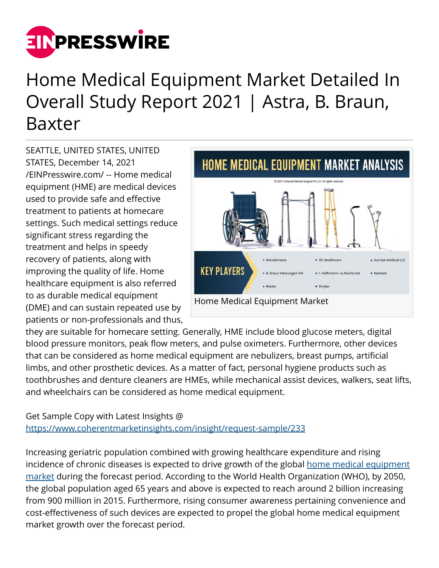

## Home Medical Equipment Market Detailed In Overall Study Report 2021 | Astra, B. Braun, Baxter

SEATTLE, UNITED STATES, UNITED STATES, December 14, 2021 [/EINPresswire.com/](http://www.einpresswire.com) -- Home medical equipment (HME) are medical devices used to provide safe and effective treatment to patients at homecare settings. Such medical settings reduce significant stress regarding the treatment and helps in speedy recovery of patients, along with improving the quality of life. Home healthcare equipment is also referred to as durable medical equipment (DME) and can sustain repeated use by patients or non-professionals and thus,



they are suitable for homecare setting. Generally, HME include blood glucose meters, digital blood pressure monitors, peak flow meters, and pulse oximeters. Furthermore, other devices that can be considered as home medical equipment are nebulizers, breast pumps, artificial limbs, and other prosthetic devices. As a matter of fact, personal hygiene products such as toothbrushes and denture cleaners are HMEs, while mechanical assist devices, walkers, seat lifts, and wheelchairs can be considered as home medical equipment.

## Get Sample Copy with Latest Insights @ <https://www.coherentmarketinsights.com/insight/request-sample/233>

Increasing geriatric population combined with growing healthcare expenditure and rising incidence of chronic diseases is expected to drive growth of the global [home medical equipment](https://www.coherentmarketinsights.com/ongoing-insight/home-medical-equipment-market-233http://) [market](https://www.coherentmarketinsights.com/ongoing-insight/home-medical-equipment-market-233http://) during the forecast period. According to the World Health Organization (WHO), by 2050, the global population aged 65 years and above is expected to reach around 2 billion increasing from 900 million in 2015. Furthermore, rising consumer awareness pertaining convenience and cost-effectiveness of such devices are expected to propel the global home medical equipment market growth over the forecast period.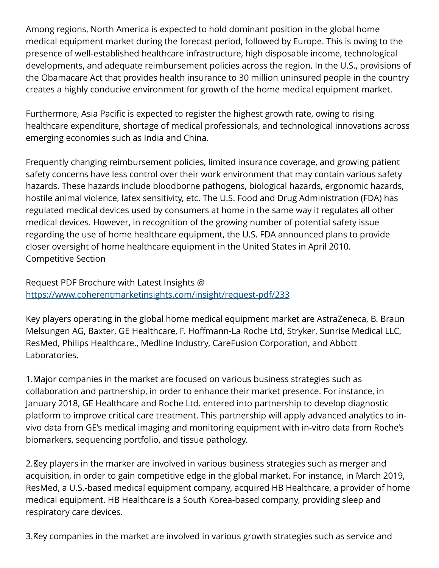Among regions, North America is expected to hold dominant position in the global home medical equipment market during the forecast period, followed by Europe. This is owing to the presence of well-established healthcare infrastructure, high disposable income, technological developments, and adequate reimbursement policies across the region. In the U.S., provisions of the Obamacare Act that provides health insurance to 30 million uninsured people in the country creates a highly conducive environment for growth of the home medical equipment market.

Furthermore, Asia Pacific is expected to register the highest growth rate, owing to rising healthcare expenditure, shortage of medical professionals, and technological innovations across emerging economies such as India and China.

Frequently changing reimbursement policies, limited insurance coverage, and growing patient safety concerns have less control over their work environment that may contain various safety hazards. These hazards include bloodborne pathogens, biological hazards, ergonomic hazards, hostile animal violence, latex sensitivity, etc. The U.S. Food and Drug Administration (FDA) has regulated medical devices used by consumers at home in the same way it regulates all other medical devices. However, in recognition of the growing number of potential safety issue regarding the use of home healthcare equipment, the U.S. FDA announced plans to provide closer oversight of home healthcare equipment in the United States in April 2010. Competitive Section

Request PDF Brochure with Latest Insights @ <https://www.coherentmarketinsights.com/insight/request-pdf/233>

Key players operating in the global home medical equipment market are AstraZeneca, B. Braun Melsungen AG, Baxter, GE Healthcare, F. Hoffmann-La Roche Ltd, Stryker, Sunrise Medical LLC, ResMed, Philips Healthcare., Medline Industry, CareFusion Corporation, and Abbott Laboratories.

1. Major companies in the market are focused on various business strategies such as collaboration and partnership, in order to enhance their market presence. For instance, in January 2018, GE Healthcare and Roche Ltd. entered into partnership to develop diagnostic platform to improve critical care treatment. This partnership will apply advanced analytics to invivo data from GE's medical imaging and monitoring equipment with in-vitro data from Roche's biomarkers, sequencing portfolio, and tissue pathology.

2. Key players in the marker are involved in various business strategies such as merger and acquisition, in order to gain competitive edge in the global market. For instance, in March 2019, ResMed, a U.S.-based medical equipment company, acquired HB Healthcare, a provider of home medical equipment. HB Healthcare is a South Korea-based company, providing sleep and respiratory care devices.

3. Key companies in the market are involved in various growth strategies such as service and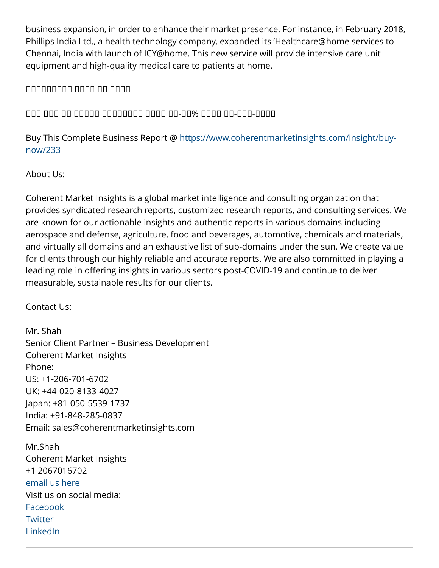business expansion, in order to enhance their market presence. For instance, in February 2018, Phillips India Ltd., a health technology company, expanded its 'Healthcare@home services to Chennai, India with launch of ICY@home. This new service will provide intensive care unit equipment and high-quality medical care to patients at home.

ᵀᵂᵂᵂᵂᵂᵂᵁᵂ ᵁᵁᵂᵁ ᵀᵂ ᵀᵂᵂᵁ

ᵀᵂᵃ ᵀᵂᵃ ᵁᵀ ᵀᵂᵁᵂᵂ ᵀᵂᵂᵁᵂᵂᵂᵂ ᵀᵂᵂᵂ ᵽᵽ-ᵽᵼ% ᵁᵂᵂᵂ ᵽᵼ-ᵀᵁᵁ-ᵽᵼᵽᵼ

Buy This Complete Business Report @ [https://www.coherentmarketinsights.com/insight/buy](https://www.coherentmarketinsights.com/insight/buy-now/233)[now/233](https://www.coherentmarketinsights.com/insight/buy-now/233)

About Us:

Coherent Market Insights is a global market intelligence and consulting organization that provides syndicated research reports, customized research reports, and consulting services. We are known for our actionable insights and authentic reports in various domains including aerospace and defense, agriculture, food and beverages, automotive, chemicals and materials, and virtually all domains and an exhaustive list of sub-domains under the sun. We create value for clients through our highly reliable and accurate reports. We are also committed in playing a leading role in offering insights in various sectors post-COVID-19 and continue to deliver measurable, sustainable results for our clients.

Contact Us:

Mr. Shah Senior Client Partner – Business Development Coherent Market Insights Phone: US: +1-206-701-6702 UK: +44-020-8133-4027 Japan: +81-050-5539-1737 India: +91-848-285-0837 Email: sales@coherentmarketinsights.com

Mr.Shah Coherent Market Insights +1 2067016702 [email us here](http://www.einpresswire.com/contact_author/3215129) Visit us on social media: [Facebook](https://www.facebook.com/CoherentMarketInsights/) **[Twitter](https://twitter.com/CoherentMI)** [LinkedIn](https://www.linkedin.com/company/coherent-market-insights)